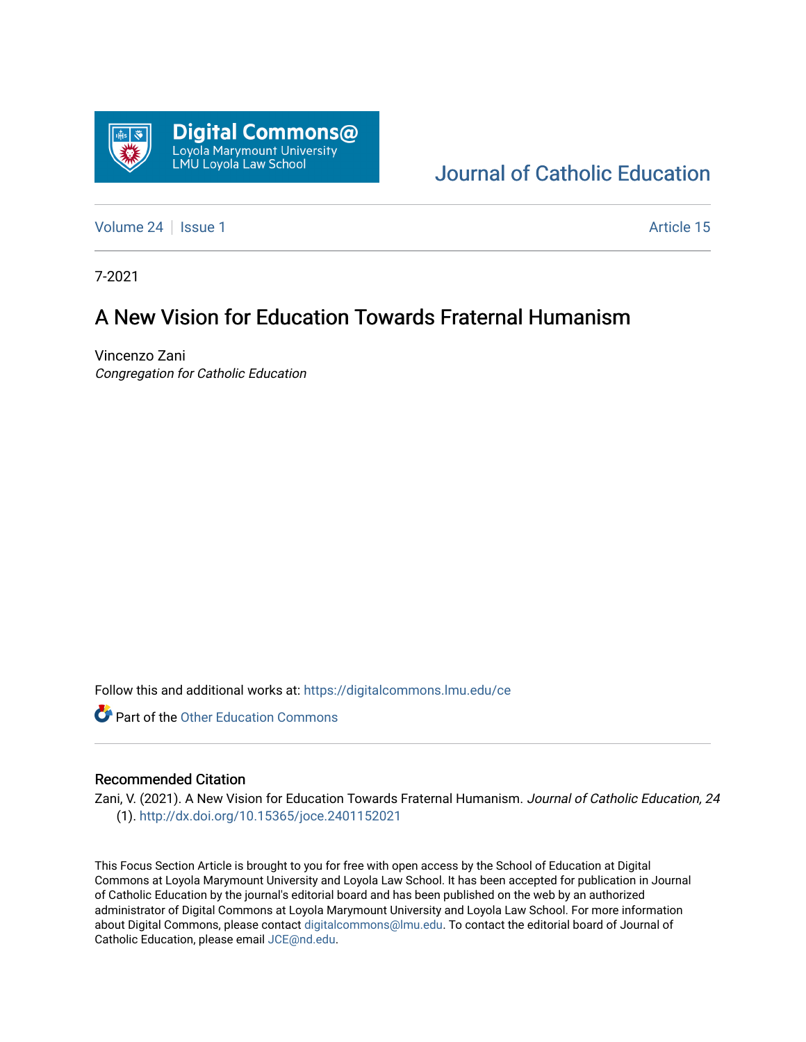

[Journal of Catholic Education](https://digitalcommons.lmu.edu/ce) 

[Volume 24](https://digitalcommons.lmu.edu/ce/vol24) | [Issue 1](https://digitalcommons.lmu.edu/ce/vol24/iss1) Article 15

7-2021

## A New Vision for Education Towards Fraternal Humanism

Vincenzo Zani Congregation for Catholic Education

Follow this and additional works at: [https://digitalcommons.lmu.edu/ce](https://digitalcommons.lmu.edu/ce?utm_source=digitalcommons.lmu.edu%2Fce%2Fvol24%2Fiss1%2F15&utm_medium=PDF&utm_campaign=PDFCoverPages)

**Part of the Other Education Commons** 

#### Recommended Citation

Zani, V. (2021). A New Vision for Education Towards Fraternal Humanism. Journal of Catholic Education, 24 (1).<http://dx.doi.org/10.15365/joce.2401152021>

This Focus Section Article is brought to you for free with open access by the School of Education at Digital Commons at Loyola Marymount University and Loyola Law School. It has been accepted for publication in Journal of Catholic Education by the journal's editorial board and has been published on the web by an authorized administrator of Digital Commons at Loyola Marymount University and Loyola Law School. For more information about Digital Commons, please contact [digitalcommons@lmu.edu](mailto:digitalcommons@lmu.edu). To contact the editorial board of Journal of Catholic Education, please email [JCE@nd.edu.](mailto:JCE@nd.edu)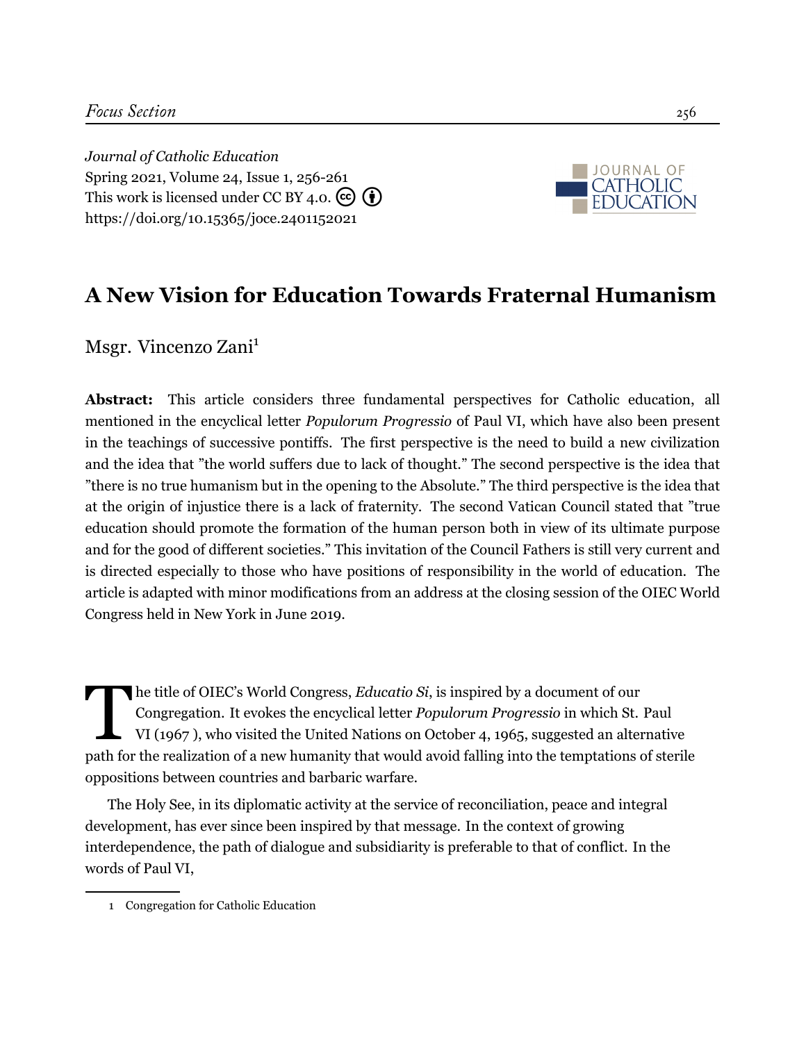*Journal of Catholic Education* Spring 2021, Volume 24, Issue 1, 256-[261](#page-6-0) This work is licensed under CC BY 4.0.  $\left(\overline{\mathbf{e}}\right)\left(\overline{\mathbf{f}}\right)$ <https://doi.org/10.15365/joce.2401152021>



# **A New Vision for Education Towards Fraternal Humanism**

Msgr. Vincenzo Zani<sup>1</sup>

**Abstract:** This article considers three fundamental perspectives for Catholic education, all mentioned in the encyclical letter *Populorum Progressio* of Paul VI, which have also been present in the teachings of successive pontiffs. The first perspective is the need to build a new civilization and the idea that "the world suffers due to lack of thought." The second perspective is the idea that "there is no true humanism but in the opening to the Absolute." The third perspective is the idea that at the origin of injustice there is a lack of fraternity. The second Vatican Council stated that "true education should promote the formation of the human person both in view of its ultimate purpose and for the good of different societies." This invitation of the Council Fathers is still very current and is directed especially to those who have positions of responsibility in the world of education. The article is adapted with minor modifications from an address at the closing session of the OIEC World Congress held in New York in June 2019.

The title of OIEC's World Congress, *Educatio Si*, is inspired by a document of our<br>Congregation. It evokes the encyclical letter *Populorum Progressio* in which St. Paul<br>VI (1967), who visited the United Nations on Octobe he title of OIEC's World Congress, *Educatio Si*, is inspired by a document of our Congregation. It evokes the encyclical letter *Populorum Progressio* in which St. Paul VI [\(1967](#page-6-1) ), who visited the United Nations on October 4, 1965, suggested an alternative oppositions between countries and barbaric warfare.

The Holy See, in its diplomatic activity at the service of reconciliation, peace and integral development, has ever since been inspired by that message. In the context of growing interdependence, the path of dialogue and subsidiarity is preferable to that of conflict. In the words of Paul VI,

<sup>1</sup> Congregation for Catholic Education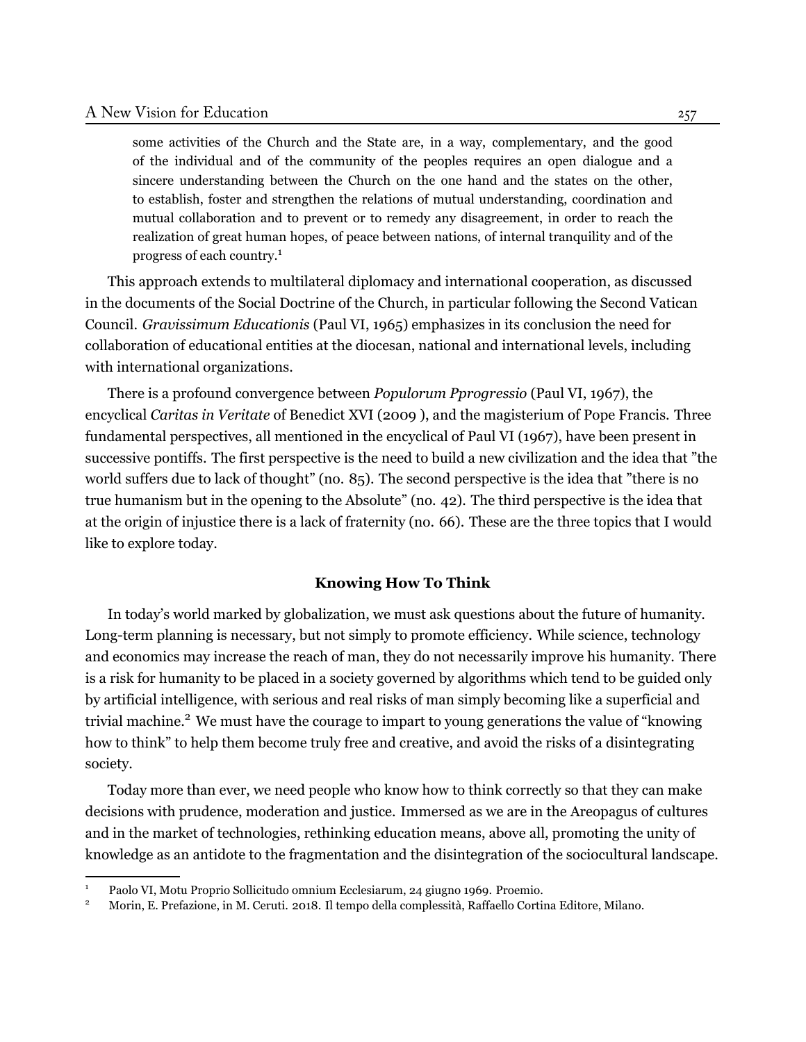some activities of the Church and the State are, in a way, complementary, and the good of the individual and of the community of the peoples requires an open dialogue and a sincere understanding between the Church on the one hand and the states on the other, to establish, foster and strengthen the relations of mutual understanding, coordination and mutual collaboration and to prevent or to remedy any disagreement, in order to reach the realization of great human hopes, of peace between nations, of internal tranquility and of the progress of each country.1

This approach extends to multilateral diplomacy and international cooperation, as discussed in the documents of the Social Doctrine of the Church, in particular following the Second Vatican Council. *Gravissimum Educationis* [\(Paul VI,](#page-6-2) [1965](#page-6-2)) emphasizes in its conclusion the need for collaboration of educational entities at the diocesan, national and international levels, including with international organizations.

There is a profound convergence between *Populorum Pprogressio* (Paul VI, 1967), the encyclical *Caritas in Veritate* of Benedict XVI([2009](#page-6-3) ), and the magisterium of Pope Francis. Three fundamental perspectives, all mentioned in the encyclical of Paul VI (1967), have been present in successive pontiffs. The first perspective is the need to build a new civilization and the idea that "the world suffers due to lack of thought" (no. 85). The second perspective is the idea that "there is no true humanism but in the opening to the Absolute" (no. 42). The third perspective is the idea that at the origin of injustice there is a lack of fraternity (no. 66). These are the three topics that I would like to explore today.

#### **Knowing How To Think**

In today's world marked by globalization, we must ask questions about the future of humanity. Long-term planning is necessary, but not simply to promote efficiency. While science, technology and economics may increase the reach of man, they do not necessarily improve his humanity. There is a risk for humanity to be placed in a society governed by algorithms which tend to be guided only by artificial intelligence, with serious and real risks of man simply becoming like a superficial and trivial machine.<sup>2</sup> We must have the courage to impart to young generations the value of "knowing" how to think" to help them become truly free and creative, and avoid the risks of a disintegrating society.

Today more than ever, we need people who know how to think correctly so that they can make decisions with prudence, moderation and justice. Immersed as we are in the Areopagus of cultures and in the market of technologies, rethinking education means, above all, promoting the unity of knowledge as an antidote to the fragmentation and the disintegration of the sociocultural landscape.

<sup>1</sup> Paolo VI, Motu Proprio Sollicitudo omnium Ecclesiarum, 24 giugno 1969. Proemio.

<sup>2</sup> Morin, E. Prefazione, in M. Ceruti. 2018. Il tempo della complessità, Raffaello Cortina Editore, Milano.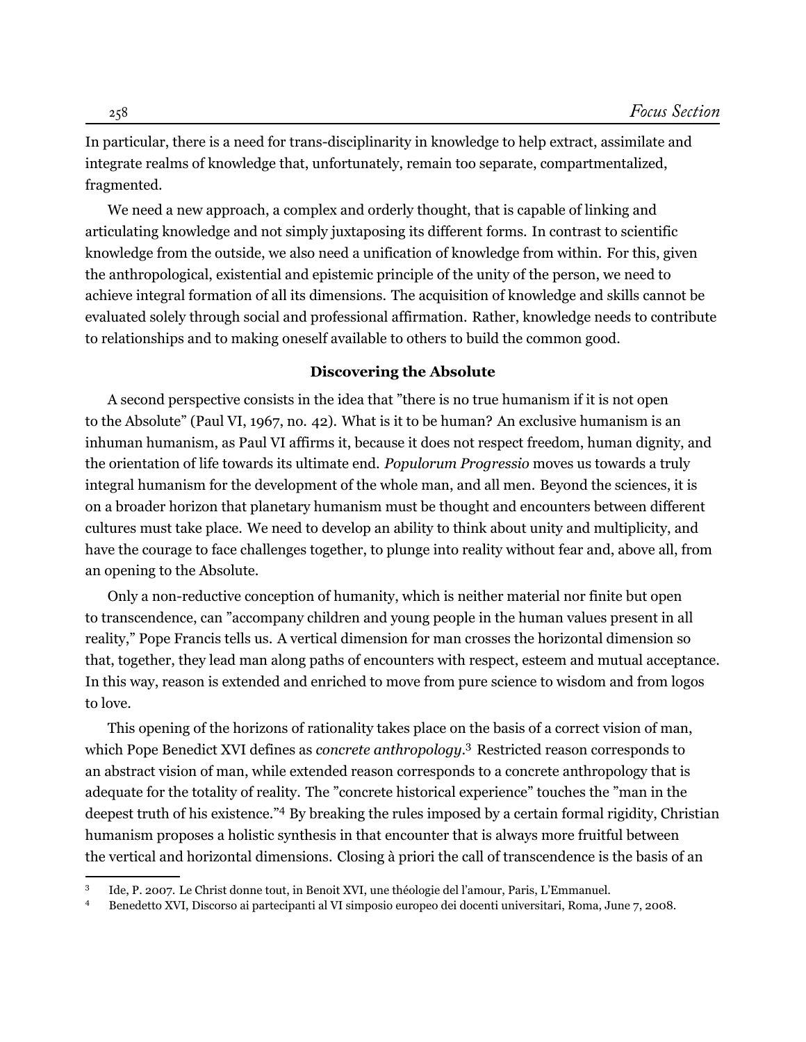In particular, there is a need for trans-disciplinarity in knowledge to help extract, assimilate and integrate realms of knowledge that, unfortunately, remain too separate, compartmentalized, fragmented.

We need a new approach, a complex and orderly thought, that is capable of linking and articulating knowledge and not simply juxtaposing its different forms. In contrast to scientific knowledge from the outside, we also need a unification of knowledge from within. For this, given the anthropological, existential and epistemic principle of the unity of the person, we need to achieve integral formation of all its dimensions. The acquisition of knowledge and skills cannot be evaluated solely through social and professional affirmation. Rather, knowledge needs to contribute to relationships and to making oneself available to others to build the common good.

#### **Discovering the Absolute**

A second perspective consists in the idea that "there is no true humanism if it is not open to the Absolute" (Paul VI, 1967, no. 42). What is it to be human? An exclusive humanism is an inhuman humanism, as Paul VI affirms it, because it does not respect freedom, human dignity, and the orientation of life towards its ultimate end. *Populorum Progressio* moves us towards a truly integral humanism for the development of the whole man, and all men. Beyond the sciences, it is on a broader horizon that planetary humanism must be thought and encounters between different cultures must take place. We need to develop an ability to think about unity and multiplicity, and have the courage to face challenges together, to plunge into reality without fear and, above all, from an opening to the Absolute.

Only a non-reductive conception of humanity, which is neither material nor finite but open to transcendence, can "accompany children and young people in the human values present in all reality," Pope Francis tells us. A vertical dimension for man crosses the horizontal dimension so that, together, they lead man along paths of encounters with respect, esteem and mutual acceptance. In this way, reason is extended and enriched to move from pure science to wisdom and from logos to love.

This opening of the horizons of rationality takes place on the basis of a correct vision of man, which Pope Benedict XVI defines as *concrete anthropology*. 3 Restricted reason corresponds to an abstract vision of man, while extended reason corresponds to a concrete anthropology that is adequate for the totality of reality. The "concrete historical experience" touches the "man in the deepest truth of his existence."4 By breaking the rules imposed by a certain formal rigidity, Christian humanism proposes a holistic synthesis in that encounter that is always more fruitful between the vertical and horizontal dimensions. Closing à priori the call of transcendence is the basis of an

<sup>3</sup> Ide, P. 2007. Le Christ donne tout, in Benoit XVI, une théologie del l'amour, Paris, L'Emmanuel.

<sup>4</sup> Benedetto XVI, Discorso ai partecipanti al VI simposio europeo dei docenti universitari, Roma, June 7, 2008.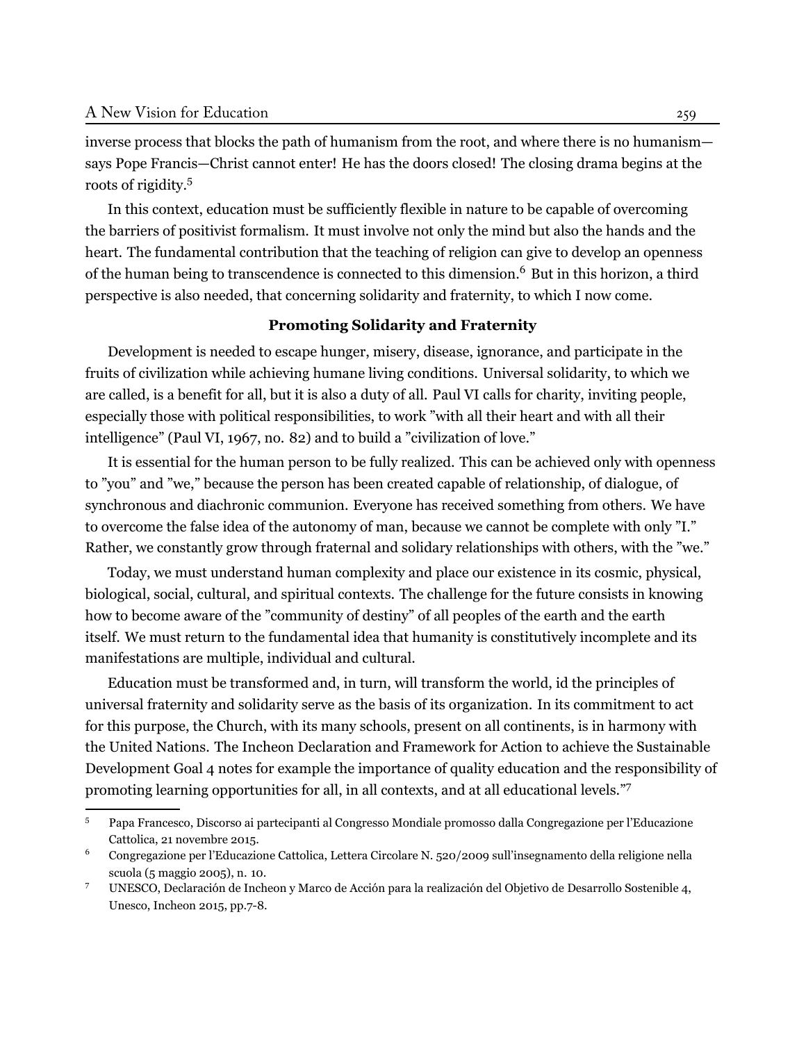inverse process that blocks the path of humanism from the root, and where there is no humanism says Pope Francis—Christ cannot enter! He has the doors closed! The closing drama begins at the roots of rigidity.5

In this context, education must be sufficiently flexible in nature to be capable of overcoming the barriers of positivist formalism. It must involve not only the mind but also the hands and the heart. The fundamental contribution that the teaching of religion can give to develop an openness of the human being to transcendence is connected to this dimension.<sup>6</sup> But in this horizon, a third perspective is also needed, that concerning solidarity and fraternity, to which I now come.

#### **Promoting Solidarity and Fraternity**

Development is needed to escape hunger, misery, disease, ignorance, and participate in the fruits of civilization while achieving humane living conditions. Universal solidarity, to which we are called, is a benefit for all, but it is also a duty of all. Paul VI calls for charity, inviting people, especially those with political responsibilities, to work "with all their heart and with all their intelligence" (Paul VI, 1967, no. 82) and to build a "civilization of love."

It is essential for the human person to be fully realized. This can be achieved only with openness to "you" and "we," because the person has been created capable of relationship, of dialogue, of synchronous and diachronic communion. Everyone has received something from others. We have to overcome the false idea of the autonomy of man, because we cannot be complete with only "I." Rather, we constantly grow through fraternal and solidary relationships with others, with the "we."

Today, we must understand human complexity and place our existence in its cosmic, physical, biological, social, cultural, and spiritual contexts. The challenge for the future consists in knowing how to become aware of the "community of destiny" of all peoples of the earth and the earth itself. We must return to the fundamental idea that humanity is constitutively incomplete and its manifestations are multiple, individual and cultural.

Education must be transformed and, in turn, will transform the world, id the principles of universal fraternity and solidarity serve as the basis of its organization. In its commitment to act for this purpose, the Church, with its many schools, present on all continents, is in harmony with the United Nations. The Incheon Declaration and Framework for Action to achieve the Sustainable Development Goal 4 notes for example the importance of quality education and the responsibility of promoting learning opportunities for all, in all contexts, and at all educational levels."7

<sup>5</sup> Papa Francesco, Discorso ai partecipanti al Congresso Mondiale promosso dalla Congregazione per l'Educazione Cattolica, 21 novembre 2015.

<sup>6</sup> Congregazione per l'Educazione Cattolica, Lettera Circolare N. 520/2009 sull'insegnamento della religione nella scuola (5 maggio 2005), n. 10.

<sup>7</sup> UNESCO, Declaración de Incheon y Marco de Acción para la realización del Objetivo de Desarrollo Sostenible 4, Unesco, Incheon 2015, pp.7-8.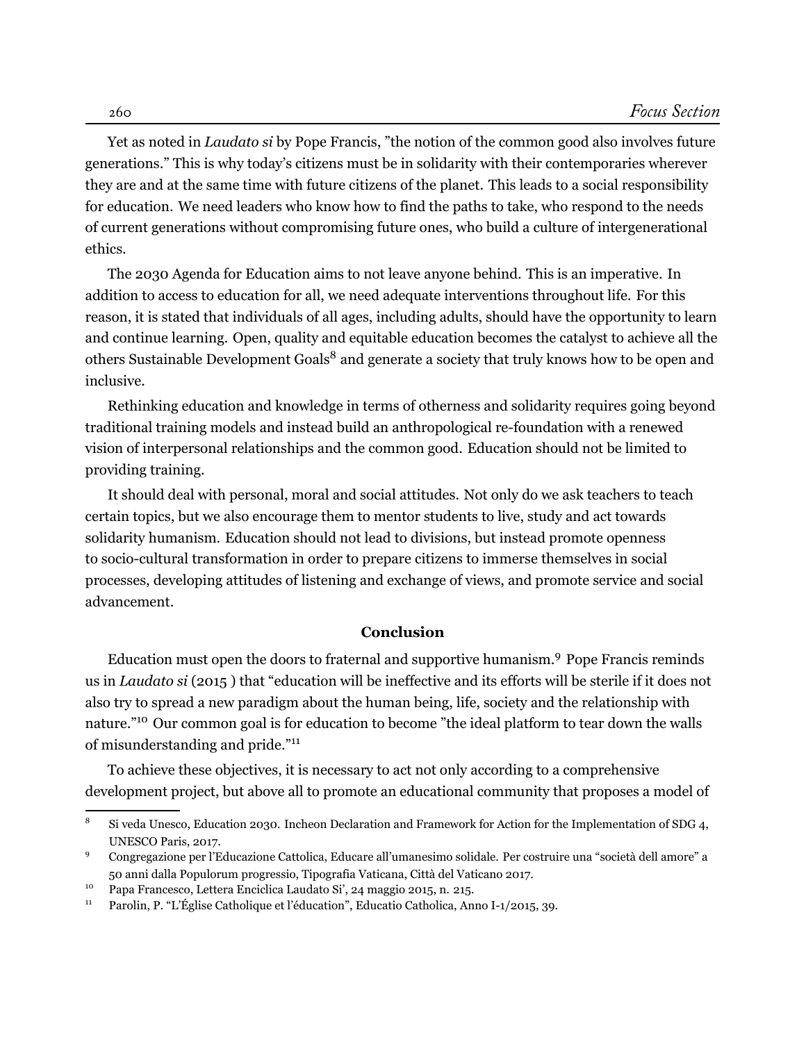Yet as noted in *Laudato si* by Pope Francis, "the notion of the common good also involves future generations." This is why today's citizens must be in solidarity with their contemporaries wherever they are and at the same time with future citizens of the planet. This leads to a social responsibility for education. We need leaders who know how to find the paths to take, who respond to the needs of current generations without compromising future ones, who build a culture of intergenerational ethics.

The 2030 Agenda for Education aims to not leave anyone behind. This is an imperative. In addition to access to education for all, we need adequate interventions throughout life. For this reason, it is stated that individuals of all ages, including adults, should have the opportunity to learn and continue learning. Open, quality and equitable education becomes the catalyst to achieve all the others Sustainable Development Goals<sup>8</sup> and generate a society that truly knows how to be open and inclusive.

Rethinking education and knowledge in terms of otherness and solidarity requires going beyond traditional training models and instead build an anthropological re-foundation with a renewed vision of interpersonal relationships and the common good. Education should not be limited to providing training.

It should deal with personal, moral and social attitudes. Not only do we ask teachers to teach certain topics, but we also encourage them to mentor students to live, study and act towards solidarity humanism. Education should not lead to divisions, but instead promote openness to socio-cultural transformation in order to prepare citizens to immerse themselves in social processes, developing attitudes of listening and exchange of views, and promote service and social advancement.

### **Conclusion**

Education must open the doors to fraternal and supportive humanism.9 Pope Francis reminds us in *Laudato si* [\(2015](#page-6-4) ) that "education will be ineffective and its efforts will be sterile if it does not also try to spread a new paradigm about the human being, life, society and the relationship with nature."<sup>10</sup> Our common goal is for education to become "the ideal platform to tear down the walls of misunderstanding and pride."11

To achieve these objectives, it is necessary to act not only according to a comprehensive development project, but above all to promote an educational community that proposes a model of

<sup>&</sup>lt;sup>8</sup> Si veda Unesco, Education 2030. Incheon Declaration and Framework for Action for the Implementation of SDG 4, UNESCO Paris, 2017.

<sup>9</sup> Congregazione per l'Educazione Cattolica, Educare all'umanesimo solidale. Per costruire una "società dell amore" a 50 anni dalla Populorum progressio, Tipografia Vaticana, Città del Vaticano 2017.

<sup>10</sup> Papa Francesco, Lettera Enciclica Laudato Si', 24 maggio 2015, n. 215.

<sup>&</sup>lt;sup>11</sup> Parolin, P. "L'Église Catholique et l'éducation", Educatio Catholica, Anno I-1/2015, 39.